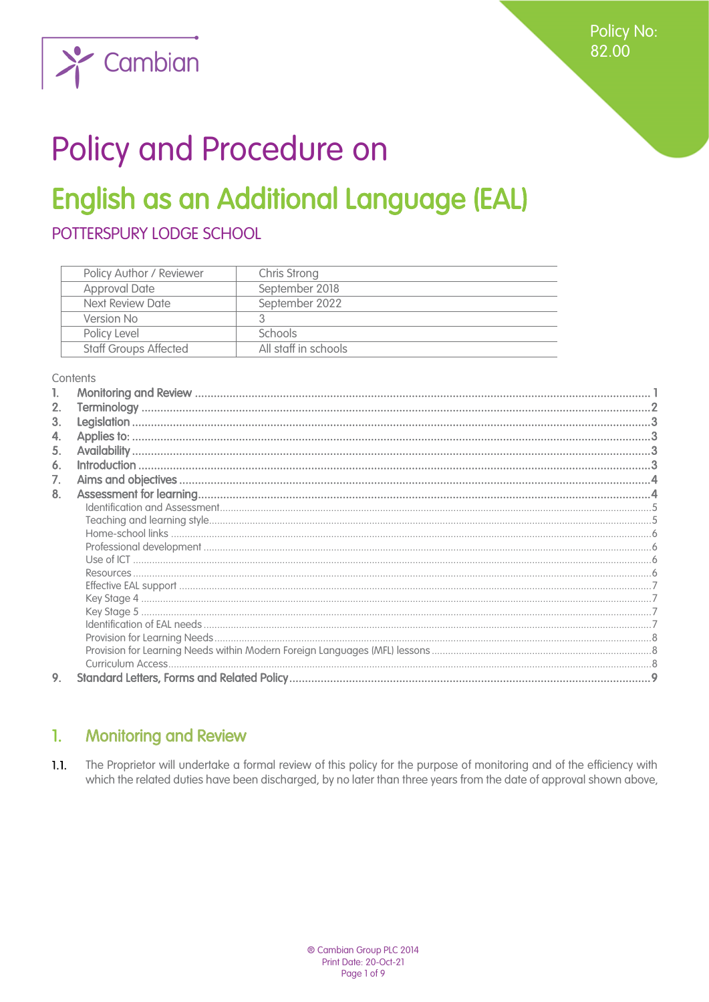

# Policy and Procedure on

## **English as an Additional Language (EAL)**

POTTERSPURY LODGE SCHOOL

| Policy Author / Reviewer     | Chris Strong         |
|------------------------------|----------------------|
| <b>Approval Date</b>         | September 2018       |
| Next Review Date             | September 2022       |
| Version No                   |                      |
| Policy Level                 | <b>Schools</b>       |
| <b>Staff Groups Affected</b> | All staff in schools |

#### Contents

| 2. |  |
|----|--|
| 3. |  |
| 4. |  |
| 5. |  |
| 6. |  |
| 7. |  |
| 8. |  |
|    |  |
|    |  |
|    |  |
|    |  |
|    |  |
|    |  |
|    |  |
|    |  |
|    |  |
|    |  |
|    |  |
|    |  |
| 9. |  |
|    |  |

#### <span id="page-0-0"></span> $\mathbf{1}$ . **Monitoring and Review**

 $1.1.$ The Proprietor will undertake a formal review of this policy for the purpose of monitoring and of the efficiency with which the related duties have been discharged, by no later than three years from the date of approval shown above,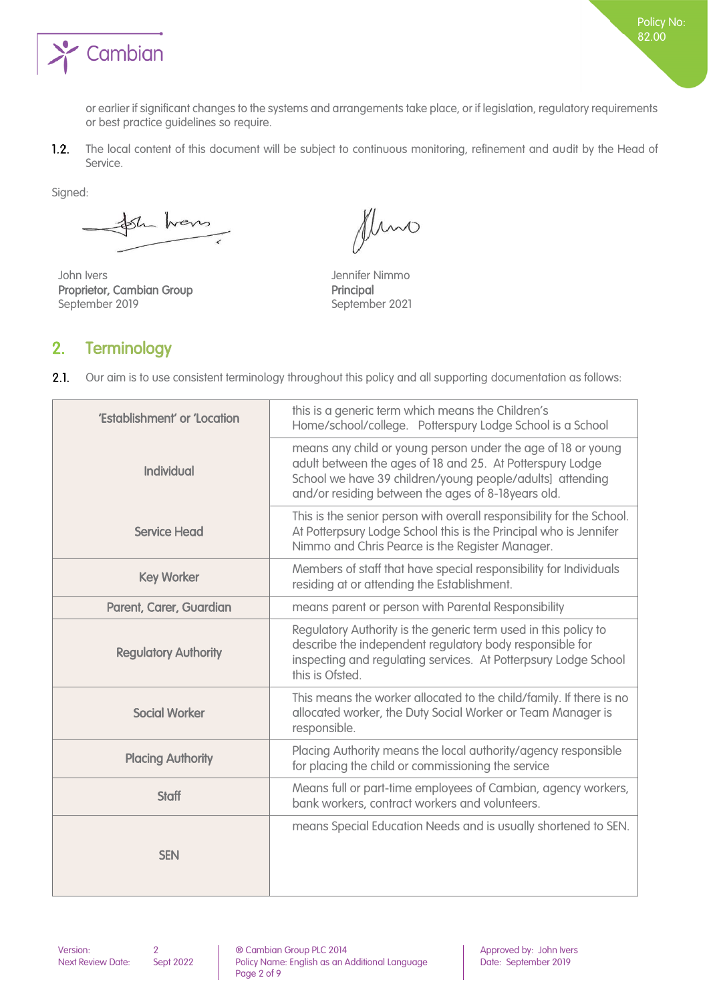

or earlier if significant changes to the systems and arrangements take place, or if legislation, regulatory requirements or best practice guidelines so require.

 $1.2.$ The local content of this document will be subject to continuous monitoring, refinement and audit by the Head of Service.

Signed:

ste hans

John Ivers Jennifer Nimmo Proprietor, Cambian Group Principal September 2019 September 2021

fluno

## <span id="page-1-0"></span>2. Terminology

 $2.1.$ Our aim is to use consistent terminology throughout this policy and all supporting documentation as follows:

| 'Establishment' or 'Location | this is a generic term which means the Children's<br>Home/school/college. Potterspury Lodge School is a School                                                                                                                               |
|------------------------------|----------------------------------------------------------------------------------------------------------------------------------------------------------------------------------------------------------------------------------------------|
| <b>Individual</b>            | means any child or young person under the age of 18 or young<br>adult between the ages of 18 and 25. At Potterspury Lodge<br>School we have 39 children/young people/adults] attending<br>and/or residing between the ages of 8-18years old. |
| <b>Service Head</b>          | This is the senior person with overall responsibility for the School.<br>At Potterpsury Lodge School this is the Principal who is Jennifer<br>Nimmo and Chris Pearce is the Register Manager.                                                |
| <b>Key Worker</b>            | Members of staff that have special responsibility for Individuals<br>residing at or attending the Establishment.                                                                                                                             |
| Parent, Carer, Guardian      | means parent or person with Parental Responsibility                                                                                                                                                                                          |
| <b>Regulatory Authority</b>  | Regulatory Authority is the generic term used in this policy to<br>describe the independent regulatory body responsible for<br>inspecting and regulating services. At Potterpsury Lodge School<br>this is Ofsted.                            |
| <b>Social Worker</b>         | This means the worker allocated to the child/family. If there is no<br>allocated worker, the Duty Social Worker or Team Manager is<br>responsible.                                                                                           |
| <b>Placing Authority</b>     | Placing Authority means the local authority/agency responsible<br>for placing the child or commissioning the service                                                                                                                         |
| <b>Staff</b>                 | Means full or part-time employees of Cambian, agency workers,<br>bank workers, contract workers and volunteers.                                                                                                                              |
| <b>SEN</b>                   | means Special Education Needs and is usually shortened to SEN.                                                                                                                                                                               |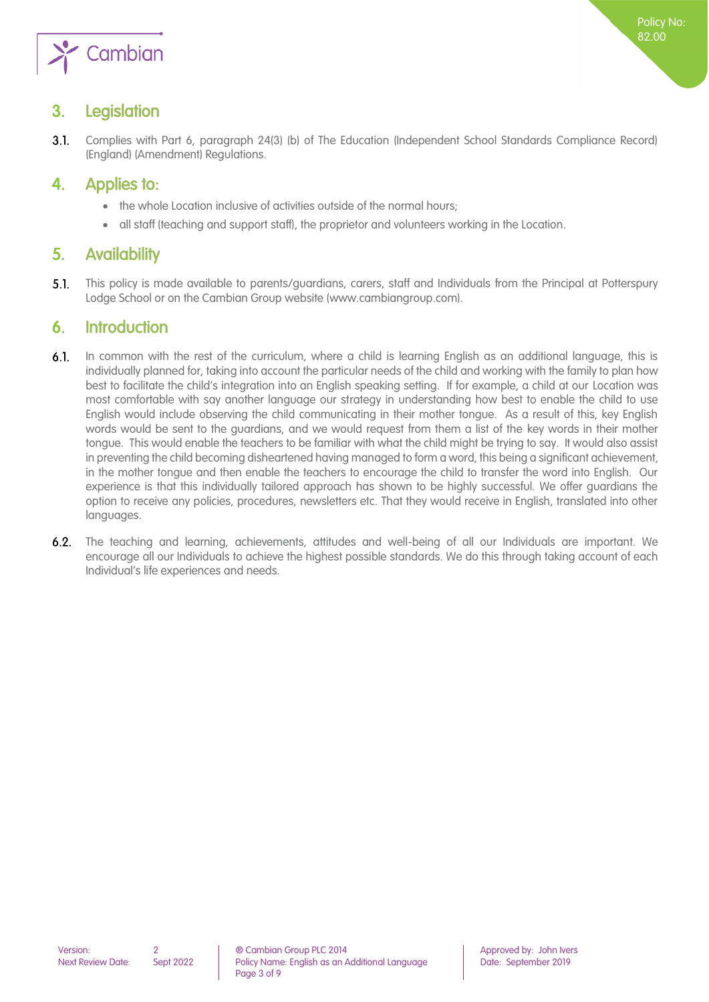

## <span id="page-2-0"></span>3. Legislation

 $3.1.$ Complies with Part 6, paragraph 24(3) (b) of The Education (Independent School Standards Compliance Record) (England) (Amendment) Regulations.

## <span id="page-2-1"></span>4. Applies to:

- the whole Location inclusive of activities outside of the normal hours;
- <span id="page-2-2"></span>all staff (teaching and support staff), the proprietor and volunteers working in the Location.

## 5. Availability

 $5.1.$ This policy is made available to parents/guardians, carers, staff and Individuals from the Principal at Potterspury Lodge School or on the Cambian Group website (www.cambiangroup.com).

## <span id="page-2-3"></span>6. Introduction

- In common with the rest of the curriculum, where a child is learning English as an additional language, this is  $6.1.$ individually planned for, taking into account the particular needs of the child and working with the family to plan how best to facilitate the child's integration into an English speaking setting. If for example, a child at our Location was most comfortable with say another language our strategy in understanding how best to enable the child to use English would include observing the child communicating in their mother tongue. As a result of this, key English words would be sent to the guardians, and we would request from them a list of the key words in their mother tongue. This would enable the teachers to be familiar with what the child might be trying to say. It would also assist in preventing the child becoming disheartened having managed to form a word, this being a significant achievement, in the mother tongue and then enable the teachers to encourage the child to transfer the word into English. Our experience is that this individually tailored approach has shown to be highly successful. We offer guardians the option to receive any policies, procedures, newsletters etc. That they would receive in English, translated into other languages.
- $6.2.$ The teaching and learning, achievements, attitudes and well-being of all our Individuals are important. We encourage all our Individuals to achieve the highest possible standards. We do this through taking account of each Individual's life experiences and needs.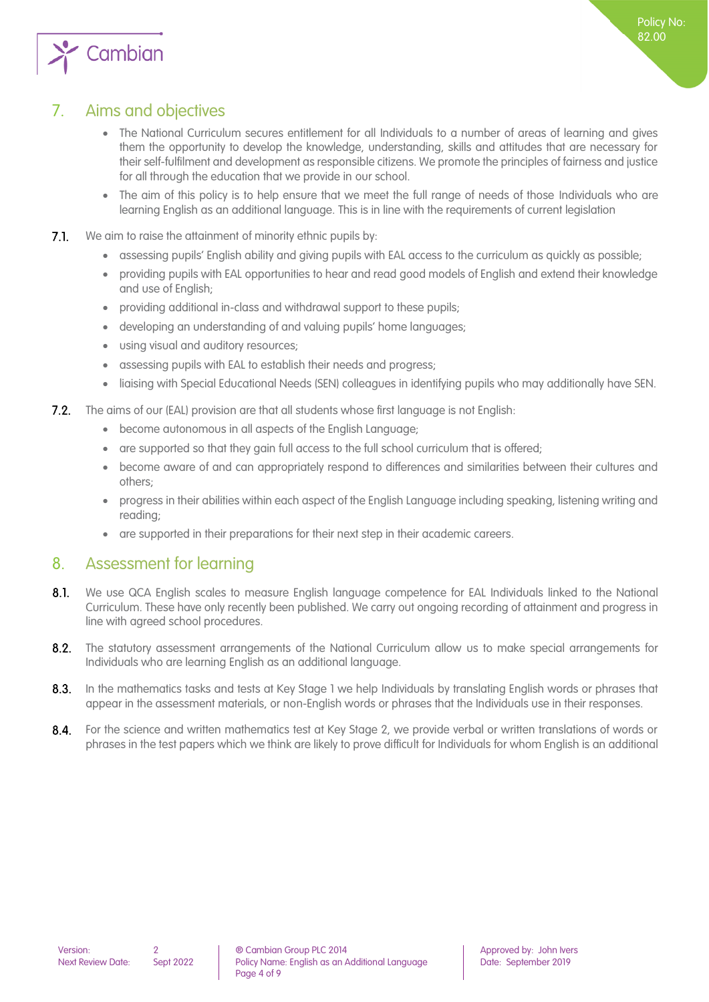

## 7. Aims and objectives

- <span id="page-3-0"></span>• The National Curriculum secures entitlement for all Individuals to a number of areas of learning and gives them the opportunity to develop the knowledge, understanding, skills and attitudes that are necessary for their self-fulfilment and development as responsible citizens. We promote the principles of fairness and justice for all through the education that we provide in our school.
- The aim of this policy is to help ensure that we meet the full range of needs of those Individuals who are learning English as an additional language. This is in line with the requirements of current legislation
- $7.1.$ We aim to raise the attainment of minority ethnic pupils by:
	- assessing pupils' English ability and giving pupils with EAL access to the curriculum as quickly as possible;
	- providing pupils with EAL opportunities to hear and read good models of English and extend their knowledge and use of English;
	- providing additional in-class and withdrawal support to these pupils;
	- developing an understanding of and valuing pupils' home languages;
	- using visual and auditory resources;
	- assessing pupils with EAL to establish their needs and progress;
	- liaising with Special Educational Needs (SEN) colleagues in identifying pupils who may additionally have SEN.
- The aims of our (EAL) provision are that all students whose first language is not English:  $7.2.$ 
	- become autonomous in all aspects of the English Language;
	- are supported so that they gain full access to the full school curriculum that is offered;
	- become aware of and can appropriately respond to differences and similarities between their cultures and others;
	- progress in their abilities within each aspect of the English Language including speaking, listening writing and reading;
	- are supported in their preparations for their next step in their academic careers.

### <span id="page-3-1"></span>8. Assessment for learning

- $8.1.$ We use QCA English scales to measure English language competence for EAL Individuals linked to the National Curriculum. These have only recently been published. We carry out ongoing recording of attainment and progress in line with agreed school procedures.
- $8.2.$ The statutory assessment arrangements of the National Curriculum allow us to make special arrangements for Individuals who are learning English as an additional language.
- $8.3.$ In the mathematics tasks and tests at Key Stage 1 we help Individuals by translating English words or phrases that appear in the assessment materials, or non-English words or phrases that the Individuals use in their responses.
- $8.4.$ For the science and written mathematics test at Key Stage 2, we provide verbal or written translations of words or phrases in the test papers which we think are likely to prove difficult for Individuals for whom English is an additional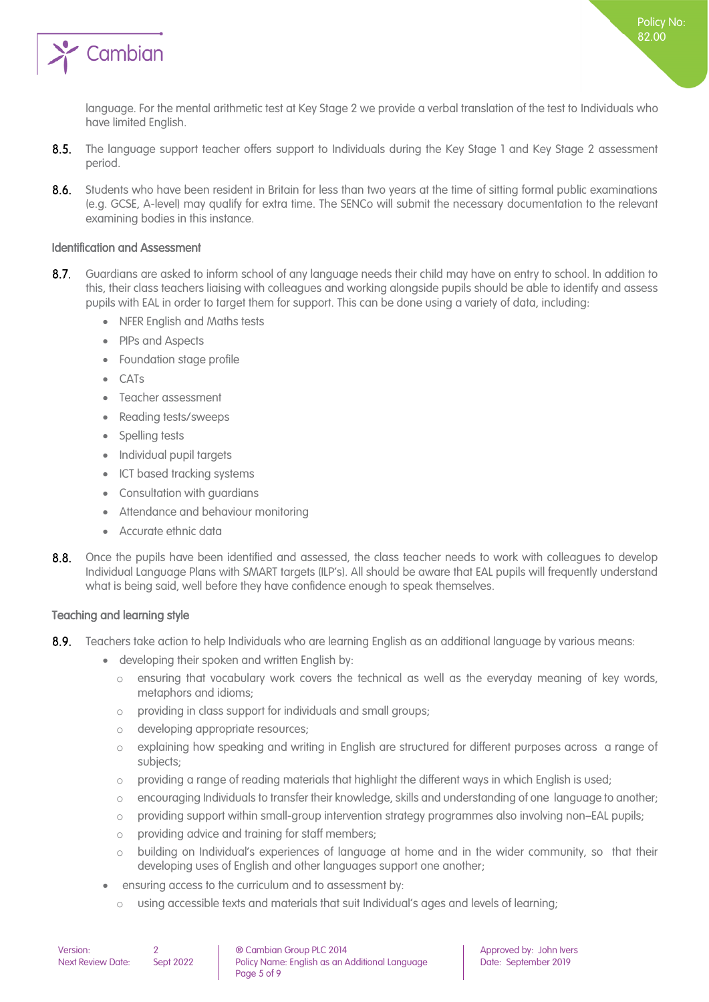

language. For the mental arithmetic test at Key Stage 2 we provide a verbal translation of the test to Individuals who have limited English.

- $8.5.$ The language support teacher offers support to Individuals during the Key Stage 1 and Key Stage 2 assessment period.
- $8.6.$ Students who have been resident in Britain for less than two years at the time of sitting formal public examinations (e.g. GCSE, A-level) may qualify for extra time. The SENCo will submit the necessary documentation to the relevant examining bodies in this instance.

### <span id="page-4-0"></span>Identification and Assessment

- $8.7.$ Guardians are asked to inform school of any language needs their child may have on entry to school. In addition to this, their class teachers liaising with colleagues and working alongside pupils should be able to identify and assess pupils with EAL in order to target them for support. This can be done using a variety of data, including:
	- NFER English and Maths tests
	- PIPs and Aspects
	- Foundation stage profile
	- CATs
	- Teacher assessment
	- Reading tests/sweeps
	- Spelling tests
	- Individual pupil targets
	- ICT based tracking systems
	- Consultation with guardians
	- Attendance and behaviour monitoring
	- Accurate ethnic data
- Once the pupils have been identified and assessed, the class teacher needs to work with colleagues to develop  $8.8.$ Individual Language Plans with SMART targets (ILP's). All should be aware that EAL pupils will frequently understand what is being said, well before they have confidence enough to speak themselves.

### <span id="page-4-1"></span>Teaching and learning style

- $8.9.$ Teachers take action to help Individuals who are learning English as an additional language by various means:
	- developing their spoken and written English by:
		- o ensuring that vocabulary work covers the technical as well as the everyday meaning of key words, metaphors and idioms;
		- o providing in class support for individuals and small groups;
		- o developing appropriate resources;
		- explaining how speaking and writing in English are structured for different purposes across a range of subjects;
		- $\circ$  providing a range of reading materials that highlight the different ways in which English is used;
		- o encouraging Individuals to transfer their knowledge, skills and understanding of one language to another;
		- o providing support within small-group intervention strategy programmes also involving non–EAL pupils;
		- o providing advice and training for staff members;
		- o building on Individual's experiences of language at home and in the wider community, so that their developing uses of English and other languages support one another;
	- ensuring access to the curriculum and to assessment by:
		- o using accessible texts and materials that suit Individual's ages and levels of learning;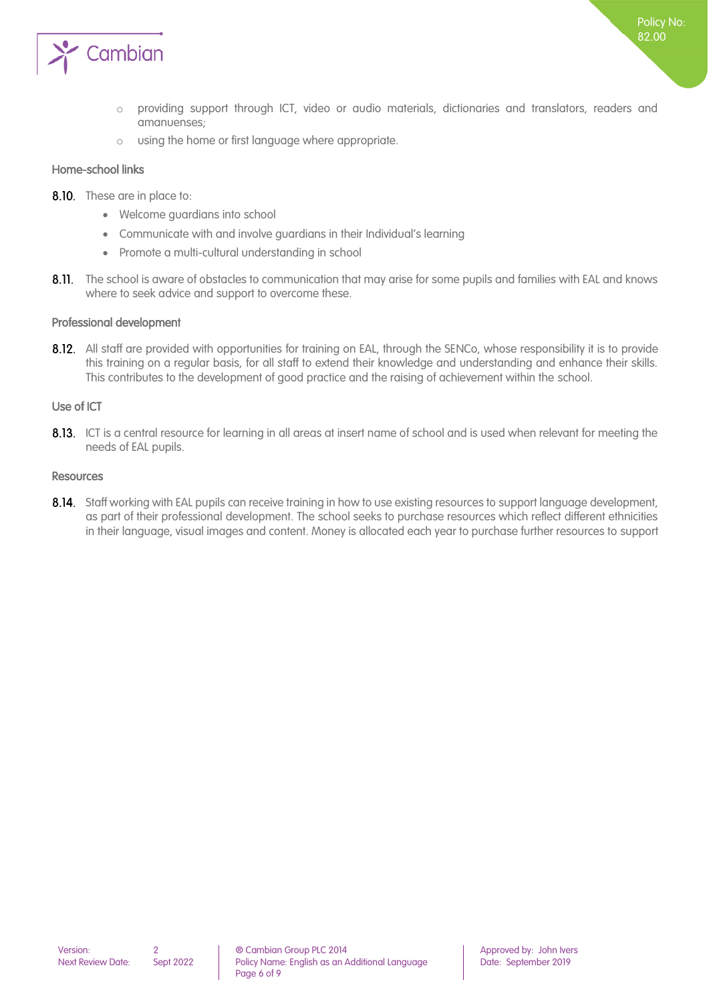

- o providing support through ICT, video or audio materials, dictionaries and translators, readers and amanuenses;
- o using the home or first language where appropriate.

#### <span id="page-5-0"></span>Home-school links

- 8.10. These are in place to:
	- Welcome guardians into school
	- Communicate with and involve guardians in their Individual's learning
	- Promote a multi-cultural understanding in school
- 8.11. The school is aware of obstacles to communication that may arise for some pupils and families with EAL and knows where to seek advice and support to overcome these.

#### <span id="page-5-1"></span>Professional development

8.12. All staff are provided with opportunities for training on EAL, through the SENCo, whose responsibility it is to provide this training on a regular basis, for all staff to extend their knowledge and understanding and enhance their skills. This contributes to the development of good practice and the raising of achievement within the school.

#### <span id="page-5-2"></span>Use of ICT

8.13. ICT is a central resource for learning in all areas at insert name of school and is used when relevant for meeting the needs of EAL pupils.

#### <span id="page-5-3"></span>Resources

8.14. Staff working with EAL pupils can receive training in how to use existing resources to support language development, as part of their professional development. The school seeks to purchase resources which reflect different ethnicities in their language, visual images and content. Money is allocated each year to purchase further resources to support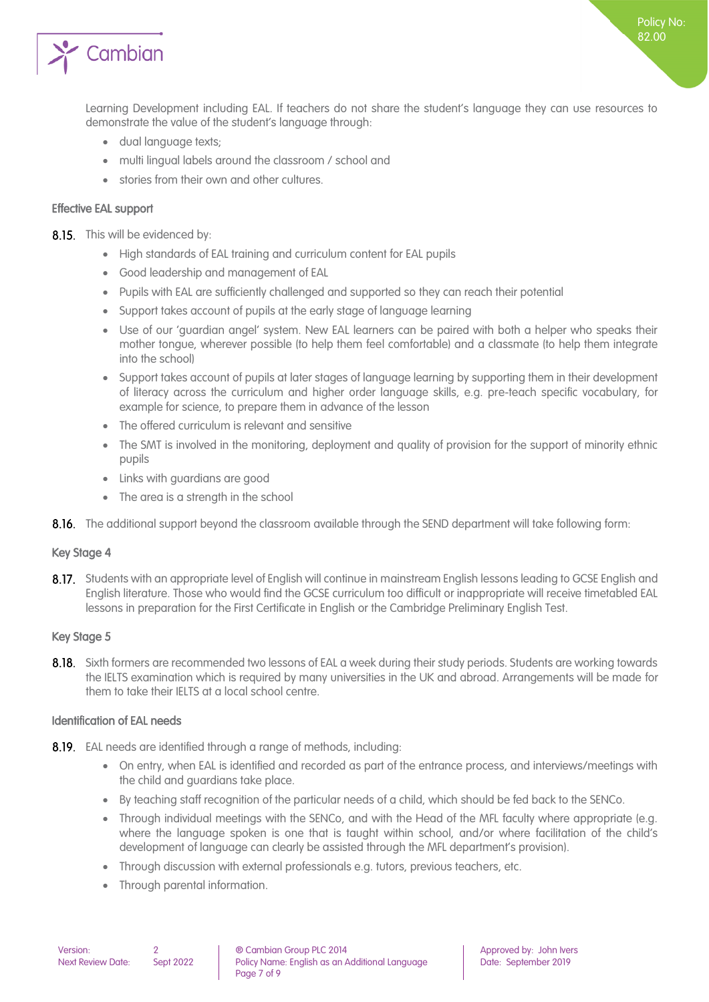

- dual language texts;
- multi lingual labels around the classroom / school and
- stories from their own and other cultures.

### <span id="page-6-0"></span>Effective EAL support

8.15. This will be evidenced by:

- High standards of EAL training and curriculum content for EAL pupils
- Good leadership and management of EAL
- Pupils with EAL are sufficiently challenged and supported so they can reach their potential
- Support takes account of pupils at the early stage of language learning
- Use of our 'guardian angel' system. New EAL learners can be paired with both a helper who speaks their mother tongue, wherever possible (to help them feel comfortable) and a classmate (to help them integrate into the school)
- Support takes account of pupils at later stages of language learning by supporting them in their development of literacy across the curriculum and higher order language skills, e.g. pre-teach specific vocabulary, for example for science, to prepare them in advance of the lesson
- The offered curriculum is relevant and sensitive
- The SMT is involved in the monitoring, deployment and quality of provision for the support of minority ethnic pupils
- Links with guardians are good
- The area is a strength in the school
- 8.16. The additional support beyond the classroom available through the SEND department will take following form:

### <span id="page-6-1"></span>Key Stage 4

8.17. Students with an appropriate level of English will continue in mainstream English lessons leading to GCSE English and English literature. Those who would find the GCSE curriculum too difficult or inappropriate will receive timetabled EAL lessons in preparation for the First Certificate in English or the Cambridge Preliminary English Test.

### <span id="page-6-2"></span>Key Stage 5

8.18. Sixth formers are recommended two lessons of EAL a week during their study periods. Students are working towards the IELTS examination which is required by many universities in the UK and abroad. Arrangements will be made for them to take their IELTS at a local school centre.

### <span id="page-6-3"></span>Identification of EAL needs

- 8.19. EAL needs are identified through a range of methods, including:
	- On entry, when EAL is identified and recorded as part of the entrance process, and interviews/meetings with the child and guardians take place.
	- By teaching staff recognition of the particular needs of a child, which should be fed back to the SENCo.
	- Through individual meetings with the SENCo, and with the Head of the MFL faculty where appropriate (e.g. where the language spoken is one that is taught within school, and/or where facilitation of the child's development of language can clearly be assisted through the MFL department's provision).
	- Through discussion with external professionals e.g. tutors, previous teachers, etc.
	- Through parental information.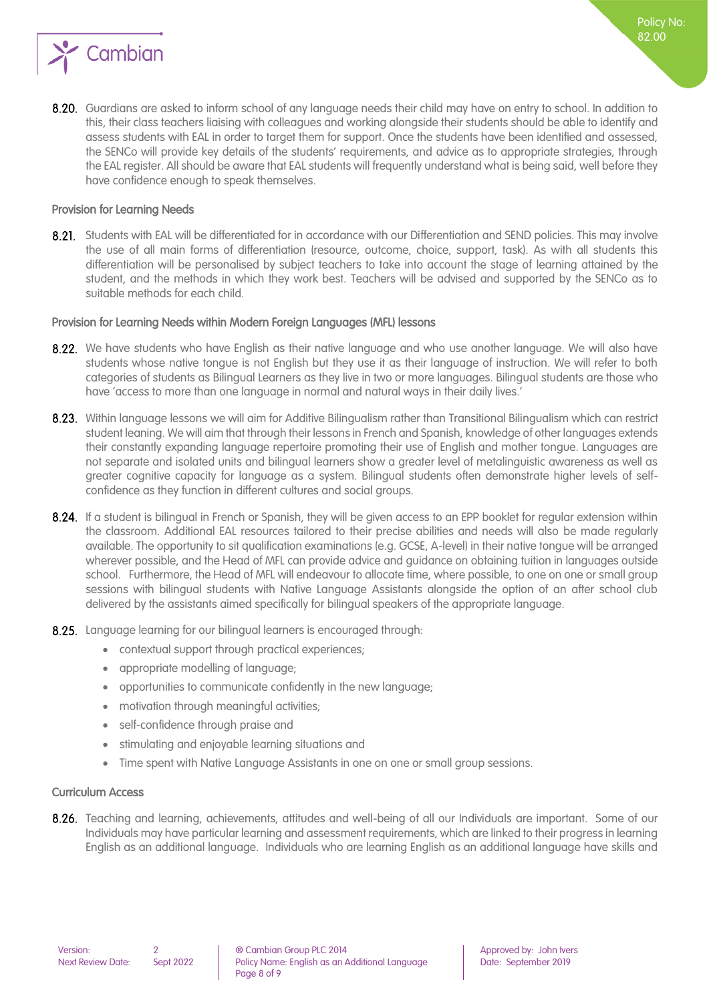

8.20. Guardians are asked to inform school of any language needs their child may have on entry to school. In addition to this, their class teachers liaising with colleagues and working alongside their students should be able to identify and assess students with EAL in order to target them for support. Once the students have been identified and assessed, the SENCo will provide key details of the students' requirements, and advice as to appropriate strategies, through the EAL register. All should be aware that EAL students will frequently understand what is being said, well before they have confidence enough to speak themselves.

#### <span id="page-7-0"></span>Provision for Learning Needs

8.21. Students with EAL will be differentiated for in accordance with our Differentiation and SEND policies. This may involve the use of all main forms of differentiation (resource, outcome, choice, support, task). As with all students this differentiation will be personalised by subject teachers to take into account the stage of learning attained by the student, and the methods in which they work best. Teachers will be advised and supported by the SENCo as to suitable methods for each child.

#### <span id="page-7-1"></span>Provision for Learning Needs within Modern Foreign Languages (MFL) lessons

- 8.22. We have students who have Enalish as their native language and who use another language. We will also have students whose native tongue is not English but they use it as their language of instruction. We will refer to both categories of students as Bilingual Learners as they live in two or more languages. Bilingual students are those who have 'access to more than one language in normal and natural ways in their daily lives.'
- 8.23. Within language lessons we will aim for Additive Bilingualism rather than Transitional Bilingualism which can restrict student leaning. We will aim that through their lessons in French and Spanish, knowledge of other languages extends their constantly expanding language repertoire promoting their use of English and mother tongue. Languages are not separate and isolated units and bilingual learners show a greater level of metalinguistic awareness as well as greater cognitive capacity for language as a system. Bilingual students often demonstrate higher levels of selfconfidence as they function in different cultures and social groups.
- 8.24. If a student is bilingual in French or Spanish, they will be given access to an EPP booklet for regular extension within the classroom. Additional EAL resources tailored to their precise abilities and needs will also be made regularly available. The opportunity to sit qualification examinations (e.g. GCSE, A-level) in their native tongue will be arranged wherever possible, and the Head of MFL can provide advice and guidance on obtaining tuition in languages outside school. Furthermore, the Head of MFL will endeavour to allocate time, where possible, to one on one or small group sessions with bilingual students with Native Language Assistants alongside the option of an after school club delivered by the assistants aimed specifically for bilingual speakers of the appropriate language.
- 8.25. Language learning for our bilingual learners is encouraged through:
	- contextual support through practical experiences;
	- appropriate modelling of language;
	- opportunities to communicate confidently in the new language;
	- motivation through meaningful activities;
	- self-confidence through praise and
	- stimulating and enjoyable learning situations and
	- Time spent with Native Language Assistants in one on one or small group sessions.

#### <span id="page-7-2"></span>Curriculum Access

8.26. Teaching and learning, achievements, attitudes and well-being of all our Individuals are important. Some of our Individuals may have particular learning and assessment requirements, which are linked to their progress in learning English as an additional language. Individuals who are learning English as an additional language have skills and